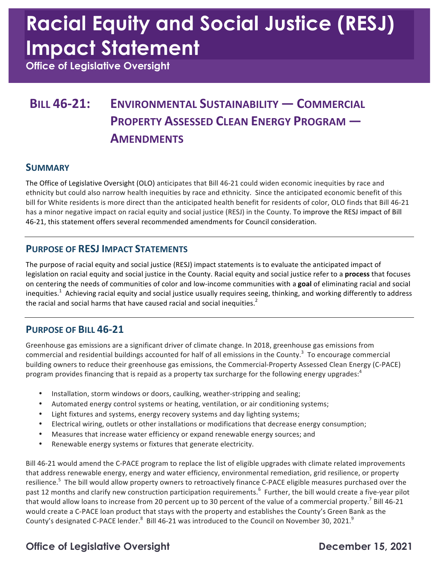# **Racial Equity and Social Justice (RESJ) Impact Statement**

 **Office of Legislative Oversight** 

### **BILL 46-21: ENVIRONMENTAL SUSTAINABILITY — COMMERCIAL PROPERTY ASSESSED CLEAN ENERGY PROGRAM — AMENDMENTS**

### **SUMMARY**

The Office of Legislative Oversight (OLO) anticipates that Bill 46-21 could widen economic inequities by race and ethnicity but could also narrow health inequities by race and ethnicity. Since the anticipated economic benefit of this bill for White residents is more direct than the anticipated health benefit for residents of color, OLO finds that Bill 46-21 has a minor negative impact on racial equity and social justice (RESJ) in the County. To improve the RESJ impact of Bill 46-21, this statement offers several recommended amendments for Council consideration.

### **PURPOSE OF RESJ IMPACT STATEMENTS**

The purpose of racial equity and social justice (RESJ) impact statements is to evaluate the anticipated impact of legislation on racial equity and social justice in the County. Racial equity and social justice refer to a **process** that focuses on centering the needs of communities of color and low-income communities with a goal of eliminating racial and social inequities.<sup>1</sup> Achieving racial equity and social justice usually requires seeing, thinking, and working differently to address the racial and social harms that have caused racial and social inequities.<sup>2</sup>

### **PURPOSE OF BILL 46-21**

Greenhouse gas emissions are a significant driver of climate change. In 2018, greenhouse gas emissions from commercial and residential buildings accounted for half of all emissions in the County.<sup>3</sup> To encourage commercial building owners to reduce their greenhouse gas emissions, the Commercial-Property Assessed Clean Energy (C-PACE) program provides financing that is repaid as a property tax surcharge for the following energy upgrades:<sup>4</sup>

- Installation, storm windows or doors, caulking, weather-stripping and sealing;
- Automated energy control systems or heating, ventilation, or air conditioning systems;
- Light fixtures and systems, energy recovery systems and day lighting systems;
- Electrical wiring, outlets or other installations or modifications that decrease energy consumption;
- Measures that increase water efficiency or expand renewable energy sources; and
- Renewable energy systems or fixtures that generate electricity.

Bill 46-21 would amend the C-PACE program to replace the list of eligible upgrades with climate related improvements that address renewable energy, energy and water efficiency, environmental remediation, grid resilience, or property resilience.<sup>5</sup> The bill would allow property owners to retroactively finance C-PACE eligible measures purchased over the past 12 months and clarify new construction participation requirements.<sup>6</sup> Further, the bill would create a five-year pilot that would allow loans to increase from 20 percent up to 30 percent of the value of a commercial property.<sup>7</sup> Bill 46-21 would create a C-PACE loan product that stays with the property and establishes the County's Green Bank as the County's designated C-PACE lender. $^8$  Bill 46-21 was introduced to the Council on November 30, 2021. $^9$ 

### **Office of Legislative Oversight Channel Control Control Channel December 15, 2021**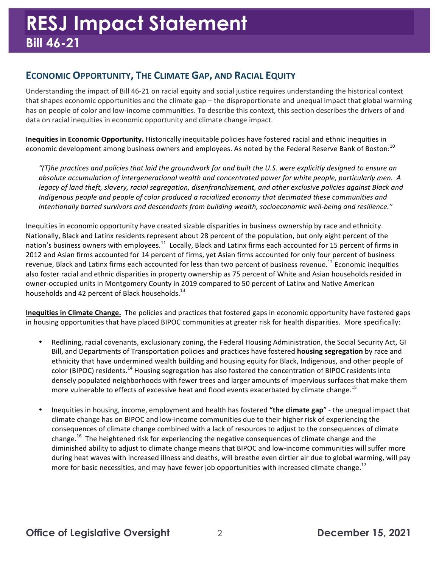### **ECONOMIC OPPORTUNITY, THE CLIMATE GAP, AND RACIAL EQUITY**

Understanding the impact of Bill 46-21 on racial equity and social justice requires understanding the historical context that shapes economic opportunities and the climate gap – the disproportionate and unequal impact that global warming has on people of color and low-income communities. To describe this context, this section describes the drivers of and data on racial inequities in economic opportunity and climate change impact.

 **Inequities in Economic Opportunity.** Historically inequitable policies have fostered racial and ethnic inequities in economic development among business owners and employees. As noted by the Federal Reserve Bank of Boston:<sup>10</sup>

"(T)he practices and policies that laid the groundwork for and built the U.S. were explicitly designed to ensure an  *absolute accumulation of intergenerational wealth and concentrated power for white people, particularly men. A* legacy of land theft, slavery, racial segregation, disenfranchisement, and other exclusive policies against Black and *Indigenous people and people of color produced a racialized economy that decimated these communities and intentionally barred survivors and descendants from building wealth, socioeconomic well-being and resilience."*

Inequities in economic opportunity have created sizable disparities in business ownership by race and ethnicity. Nationally, Black and Latinx residents represent about 28 percent of the population, but only eight percent of the nation's business owners with [employees.](https://employees.11)<sup>11</sup> Locally, Black and Latinx firms each accounted for 15 percent of firms in 2012 and Asian firms accounted for 14 percent of firms, yet Asian firms accounted for only four percent of business revenue, Black and Latinx firms each accounted for less than two percent of business [revenue.](https://revenue.12)<sup>12</sup> Economic inequities also foster racial and ethnic disparities in property ownership as 75 percent of White and Asian households resided in owner-occupied units in Montgomery County in 2019 compared to 50 percent of Latinx and Native American households and 42 percent of Black households.<sup>13</sup>

**Inequities in Climate Change.** The policies and practices that fostered gaps in economic opportunity have fostered gaps in housing opportunities that have placed BIPOC communities at greater risk for health disparities. More specifically:

- Redlining, racial covenants, exclusionary zoning, the Federal Housing Administration, the Social Security Act, GI Bill, and Departments of Transportation policies and practices have fostered **housing segregation** by race and ethnicity that have undermined wealth building and housing equity for Black, Indigenous, and other people of color (BIPOC) residents.<sup>14</sup> Housing segregation has also fostered the concentration of BIPOC residents into densely populated neighborhoods with fewer trees and larger amounts of impervious surfaces that make them more vulnerable to effects of excessive heat and flood events exacerbated by climate [change.](https://change.15)<sup>15</sup>
- Inequities in housing, income, employment and health has fostered "the climate gap" the unequal impact that climate change has on BIPOC and low-income communities due to their higher risk of experiencing the consequences of climate change combined with a lack of resources to adjust to the consequences of climate [change.](https://change.16)<sup>16</sup> The heightened risk for experiencing the negative consequences of climate change and the diminished ability to adjust to climate change means that BIPOC and low-income communities will suffer more during heat waves with increased illness and deaths, will breathe even dirtier air due to global warming, will pay more for basic necessities, and may have fewer job opportunities with increased climate change.<sup>17</sup>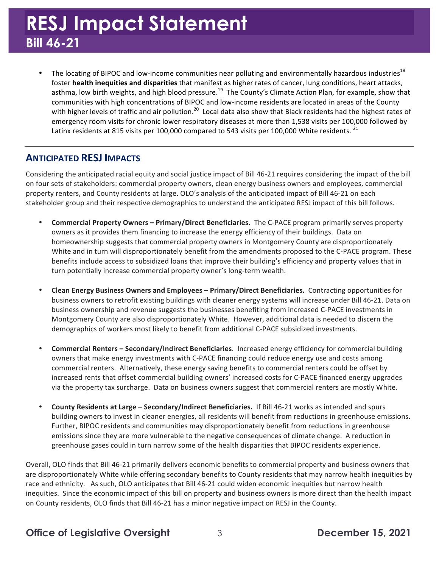## **RESJ Impact Statement Bill 46-21**

• The locating of BIPOC and low-income communities near polluting and environmentally hazardous industries<sup>18</sup> foster **health inequities and disparities** that manifest as higher rates of cancer, lung conditions, heart attacks, asthma, low birth weights, and high blood pressure.<sup>19</sup> The County's Climate Action Plan, for example, show that communities with high concentrations of BIPOC and low-income residents are located in areas of the County with higher levels of traffic and air [pollution.](https://pollution.20)<sup>20</sup> Local data also show that Black residents had the highest rates of emergency room visits for chronic lower respiratory diseases at more than 1,538 visits per 100,000 followed by Latinx residents at 815 visits per 100,000 compared to 543 visits per 100,000 White residents.  $^{21}$ 

### **ANTICIPATED RESJ IMPACTS**

Considering the anticipated racial equity and social justice impact of Bill 46-21 requires considering the impact of the bill on four sets of stakeholders: commercial property owners, clean energy business owners and employees, commercial property renters, and County residents at large. OLO's analysis of the anticipated impact of Bill 46-21 on each stakeholder group and their respective demographics to understand the anticipated RESJ impact of this bill follows.

- **Commercial Property Owners Primary/Direct Beneficiaries. The C-PACE program primarily serves property** owners as it provides them financing to increase the energy efficiency of their buildings. Data on homeownership suggests that commercial property owners in Montgomery County are disproportionately White and in turn will disproportionately benefit from the amendments proposed to the C-PACE program. These benefits include access to subsidized loans that improve their building's efficiency and property values that in turn potentially increase commercial property owner's long-term wealth.
- **Clean Energy Business Owners and Employees Primary/Direct Beneficiaries. Contracting opportunities for** business owners to retrofit existing buildings with cleaner energy systems will increase under Bill 46-21. Data on business ownership and revenue suggests the businesses benefiting from increased C-PACE investments in Montgomery County are also disproportionately White. However, additional data is needed to discern the demographics of workers most likely to benefit from additional C-PACE subsidized investments.
- **Commercial Renters – Secondary/Indirect Beneficiaries**. Increased energy efficiency for commercial building owners that make energy investments with C-PACE financing could reduce energy use and costs among commercial renters. Alternatively, these energy saving benefits to commercial renters could be offset by increased rents that offset commercial building owners' increased costs for C-PACE financed energy upgrades via the property tax surcharge. Data on business owners suggest that commercial renters are mostly White.
- **County Residents at Large Secondary/Indirect Beneficiaries.** If Bill 46-21 works as intended and spurs building owners to invest in cleaner energies, all residents will benefit from reductions in greenhouse emissions. Further, BIPOC residents and communities may disproportionately benefit from reductions in greenhouse emissions since they are more vulnerable to the negative consequences of climate change. A reduction in greenhouse gases could in turn narrow some of the health disparities that BIPOC residents experience.

Overall, OLO finds that Bill 46-21 primarily delivers economic benefits to commercial property and business owners that are disproportionately White while offering secondary benefits to County residents that may narrow health inequities by race and ethnicity. As such, OLO anticipates that Bill 46-21 could widen economic inequities but narrow health inequities. Since the economic impact of this bill on property and business owners is more direct than the health impact on County residents, OLO finds that Bill 46-21 has a minor negative impact on RESJ in the County.

### **Office of Legislative Oversight** 3 **December 15, 2021**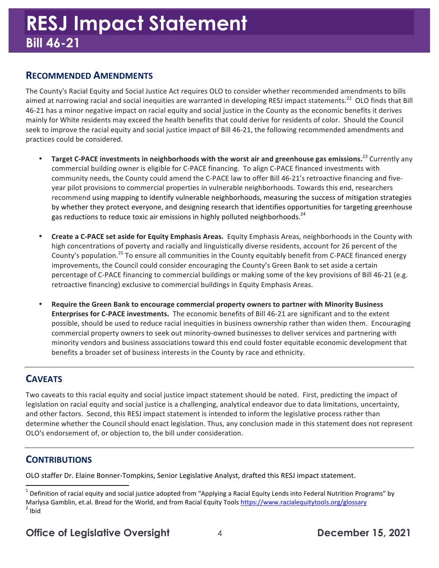### **RECOMMENDED AMENDMENTS**

 The County's Racial Equity and Social Justice Act requires OLO to consider whether recommended amendments to bills aimed at narrowing racial and social inequities are warranted in developing RESJ impact [statements.](https://statements.22)<sup>22</sup> OLO finds that Bill 46-21 has a minor negative impact on racial equity and social justice in the County as the economic benefits it derives mainly for White residents may exceed the health benefits that could derive for residents of color. Should the Council seek to improve the racial equity and social justice impact of Bill 46-21, the following recommended amendments and practices could be considered.

- **•** Target C-PACE investments in neighborhoods with the worst air and greenhouse gas [emissions.](https://emissions.23)<sup>23</sup> Currently any commercial building owner is eligible for C-PACE financing. To align C-PACE financed investments with community needs, the County could amend the C-PACE law to offer Bill 46-21's retroactive financing and fiveyear pilot provisions to commercial properties in vulnerable neighborhoods. Towards this end, researchers recommend using mapping to identify vulnerable neighborhoods, measuring the success of mitigation strategies by whether they protect everyone, and designing research that identifies opportunities for targeting greenhouse gas reductions to reduce toxic air emissions in highly polluted neighborhoods.<sup>24</sup>
- **Create a C-PACE set aside for Equity Emphasis Areas.** Equity Emphasis Areas, neighborhoods in the County with high concentrations of poverty and racially and linguistically diverse residents, account for 26 percent of the County's [population.](https://population.25)<sup>25</sup> To ensure all communities in the County equitably benefit from C-PACE financed energy improvements, the Council could consider encouraging the County's Green Bank to set aside a certain percentage of C-PACE financing to commercial buildings or making some of the key provisions of Bill 46-21 (e.g. retroactive financing) exclusive to commercial buildings in Equity Emphasis Areas.
- Require the Green Bank to encourage commercial property owners to partner with Minority Business **Enterprises for C-PACE investments.** The economic benefits of Bill 46-21 are significant and to the extent possible, should be used to reduce racial inequities in business ownership rather than widen them. Encouraging commercial property owners to seek out minority-owned businesses to deliver services and partnering with minority vendors and business associations toward this end could foster equitable economic development that benefits a broader set of business interests in the County by race and ethnicity.

### **CAVEATS**

 Two caveats to this racial equity and social justice impact statement should be noted. First, predicting the impact of and other factors. Second, this RESJ impact statement is intended to inform the legislative process rather than determine whether the Council should enact legislation. Thus, any conclusion made in this statement does not represent OLO's endorsement of, or objection to, the bill under consideration. legislation on racial equity and social justice is a challenging, analytical endeavor due to data limitations, uncertainty,

### **CONTRIBUTIONS**

 

OLO staffer Dr. Elaine Bonner-Tompkins, Senior Legislative Analyst, drafted this RESJ impact statement.

 $^1$  Definition of racial equity and social justice adopted from "Applying a Racial Equity Lends into Federal Nutrition Programs" by Marlysa Gamblin, et.al. Bread for the World, and from Racial Equity Tools <u><https://www.racialequitytools.org/glossary></u><br><sup>2</sup> Ibid  $2$  Ibid